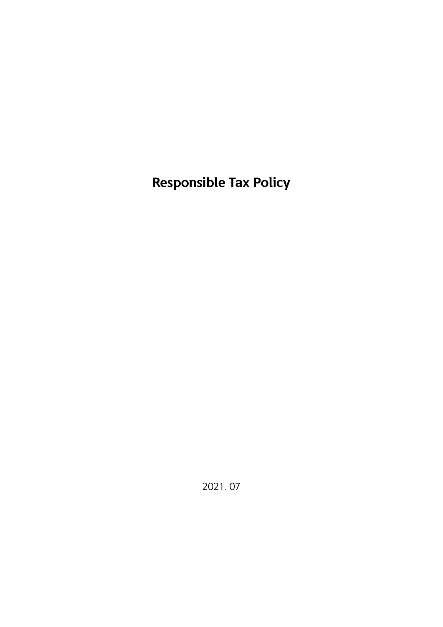**Responsible Tax Policy**

2021. 07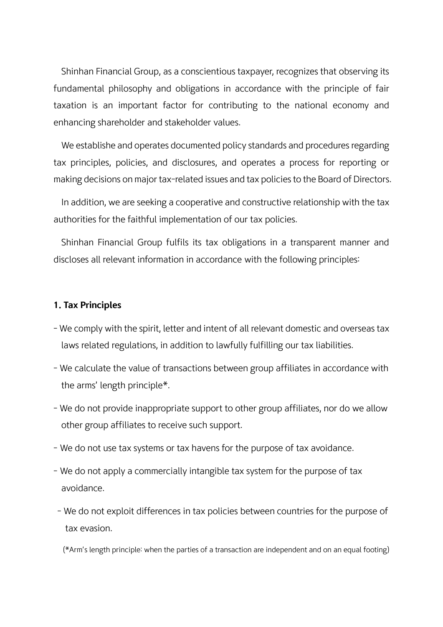Shinhan Financial Group, as a conscientious taxpayer, recognizes that observing its fundamental philosophy and obligations in accordance with the principle of fair taxation is an important factor for contributing to the national economy and enhancing shareholder and stakeholder values.

We establishe and operates documented policy standards and procedures regarding tax principles, policies, and disclosures, and operates a process for reporting or making decisions on major tax-related issues and tax policies to the Board of Directors.

In addition, we are seeking a cooperative and constructive relationship with the tax authorities for the faithful implementation of our tax policies.

Shinhan Financial Group fulfils its tax obligations in a transparent manner and discloses all relevant information in accordance with the following principles:

## **1. Tax Principles**

- We comply with the spirit, letter and intent of all relevant domestic and overseas tax laws related regulations, in addition to lawfully fulfilling our tax liabilities.
- We calculate the value of transactions between group affiliates in accordance with the arms' length principle\*.
- We do not provide inappropriate support to other group affiliates, nor do we allow other group affiliates to receive such support.
- We do not use tax systems or tax havens for the purpose of tax avoidance.
- We do not apply a commercially intangible tax system for the purpose of tax avoidance.
- We do not exploit differences in tax policies between countries for the purpose of tax evasion.

(\*Arm's length principle: when the parties of a transaction are independent and on an equal footing)